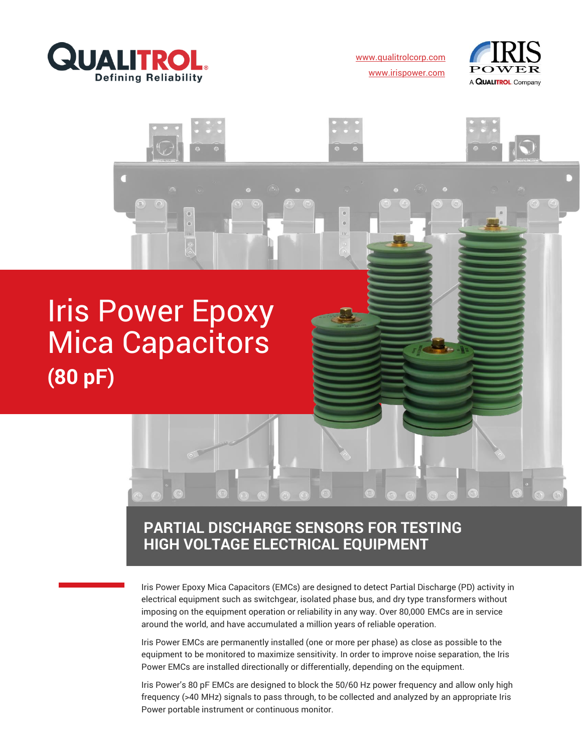

[www.qualitrolcorp.com](https://www.qualitrolcorp.com/) [www.irispower.com](https://irispower.com/)





# **PARTIAL DISCHARGE SENSORS FOR TESTING HIGH VOLTAGE ELECTRICAL EQUIPMENT**

Iris Power Epoxy Mica Capacitors (EMCs) are designed to detect Partial Discharge (PD) activity in electrical equipment such as switchgear, isolated phase bus, and dry type transformers without imposing on the equipment operation or reliability in any way. Over 80,000 EMCs are in service around the world, and have accumulated a million years of reliable operation.

Iris Power EMCs are permanently installed (one or more per phase) as close as possible to the equipment to be monitored to maximize sensitivity. In order to improve noise separation, the Iris Power EMCs are installed directionally or differentially, depending on the equipment.

Iris Power's 80 pF EMCs are designed to block the 50/60 Hz power frequency and allow only high frequency (>40 MHz) signals to pass through, to be collected and analyzed by an appropriate Iris Power portable instrument or continuous monitor.